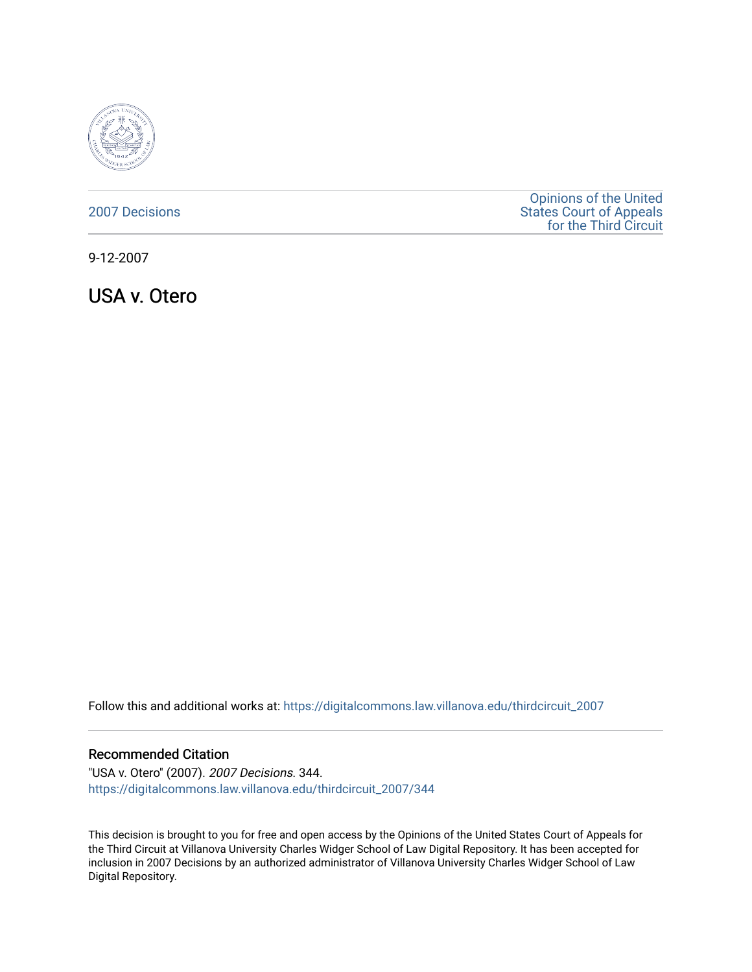

[2007 Decisions](https://digitalcommons.law.villanova.edu/thirdcircuit_2007)

[Opinions of the United](https://digitalcommons.law.villanova.edu/thirdcircuit)  [States Court of Appeals](https://digitalcommons.law.villanova.edu/thirdcircuit)  [for the Third Circuit](https://digitalcommons.law.villanova.edu/thirdcircuit) 

9-12-2007

USA v. Otero

Follow this and additional works at: [https://digitalcommons.law.villanova.edu/thirdcircuit\\_2007](https://digitalcommons.law.villanova.edu/thirdcircuit_2007?utm_source=digitalcommons.law.villanova.edu%2Fthirdcircuit_2007%2F344&utm_medium=PDF&utm_campaign=PDFCoverPages) 

#### Recommended Citation

"USA v. Otero" (2007). 2007 Decisions. 344. [https://digitalcommons.law.villanova.edu/thirdcircuit\\_2007/344](https://digitalcommons.law.villanova.edu/thirdcircuit_2007/344?utm_source=digitalcommons.law.villanova.edu%2Fthirdcircuit_2007%2F344&utm_medium=PDF&utm_campaign=PDFCoverPages)

This decision is brought to you for free and open access by the Opinions of the United States Court of Appeals for the Third Circuit at Villanova University Charles Widger School of Law Digital Repository. It has been accepted for inclusion in 2007 Decisions by an authorized administrator of Villanova University Charles Widger School of Law Digital Repository.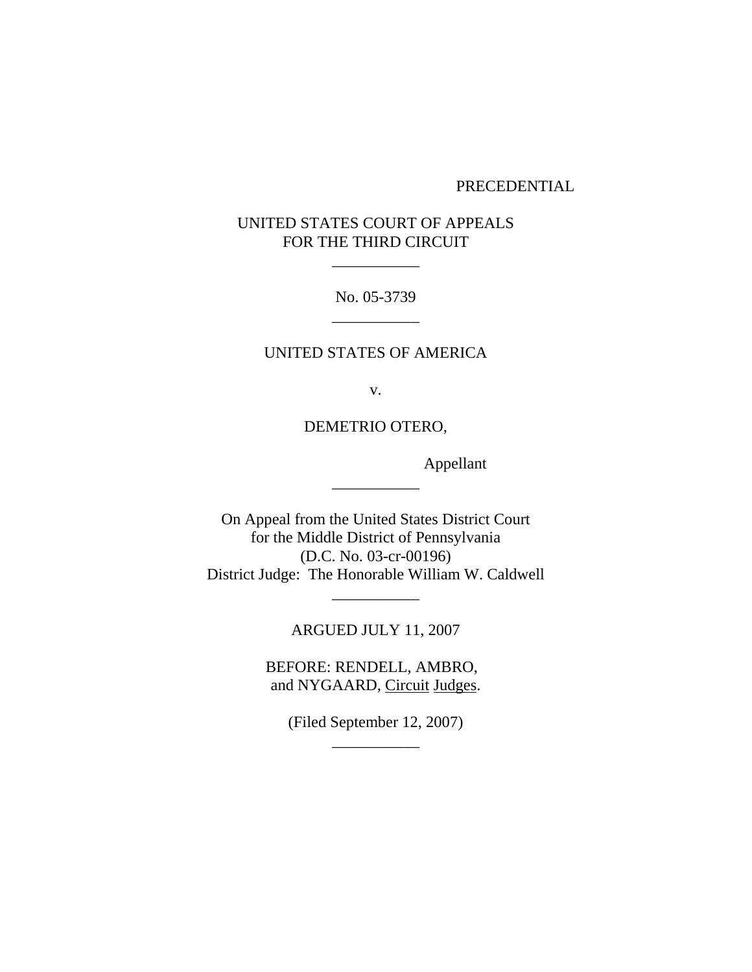#### PRECEDENTIAL

# UNITED STATES COURT OF APPEALS FOR THE THIRD CIRCUIT

\_\_\_\_\_\_\_\_\_\_\_

No. 05-3739 \_\_\_\_\_\_\_\_\_\_\_

## UNITED STATES OF AMERICA

v.

DEMETRIO OTERO,

\_\_\_\_\_\_\_\_\_\_\_

Appellant

On Appeal from the United States District Court for the Middle District of Pennsylvania (D.C. No. 03-cr-00196) District Judge: The Honorable William W. Caldwell

ARGUED JULY 11, 2007

\_\_\_\_\_\_\_\_\_\_\_

BEFORE: RENDELL, AMBRO, and NYGAARD, Circuit Judges.

> (Filed September 12, 2007) \_\_\_\_\_\_\_\_\_\_\_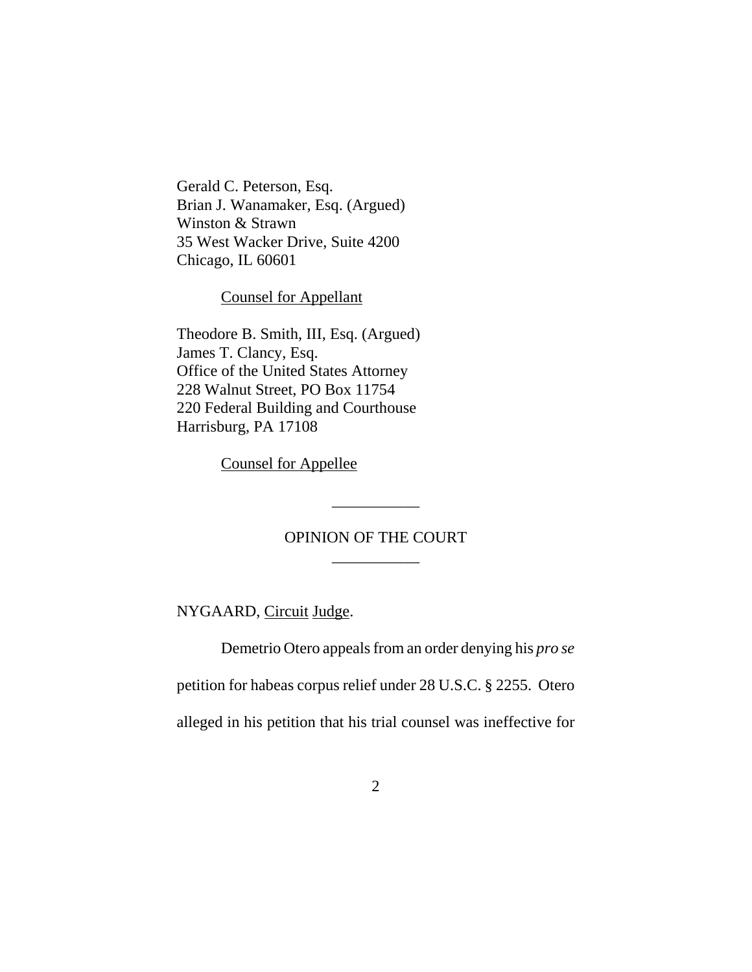Gerald C. Peterson, Esq. Brian J. Wanamaker, Esq. (Argued) Winston & Strawn 35 West Wacker Drive, Suite 4200 Chicago, IL 60601

Counsel for Appellant

Theodore B. Smith, III, Esq. (Argued) James T. Clancy, Esq. Office of the United States Attorney 228 Walnut Street, PO Box 11754 220 Federal Building and Courthouse Harrisburg, PA 17108

Counsel for Appellee

# OPINION OF THE COURT \_\_\_\_\_\_\_\_\_\_\_

\_\_\_\_\_\_\_\_\_\_\_

NYGAARD, Circuit Judge.

Demetrio Otero appeals from an order denying his *pro se* petition for habeas corpus relief under 28 U.S.C. § 2255. Otero alleged in his petition that his trial counsel was ineffective for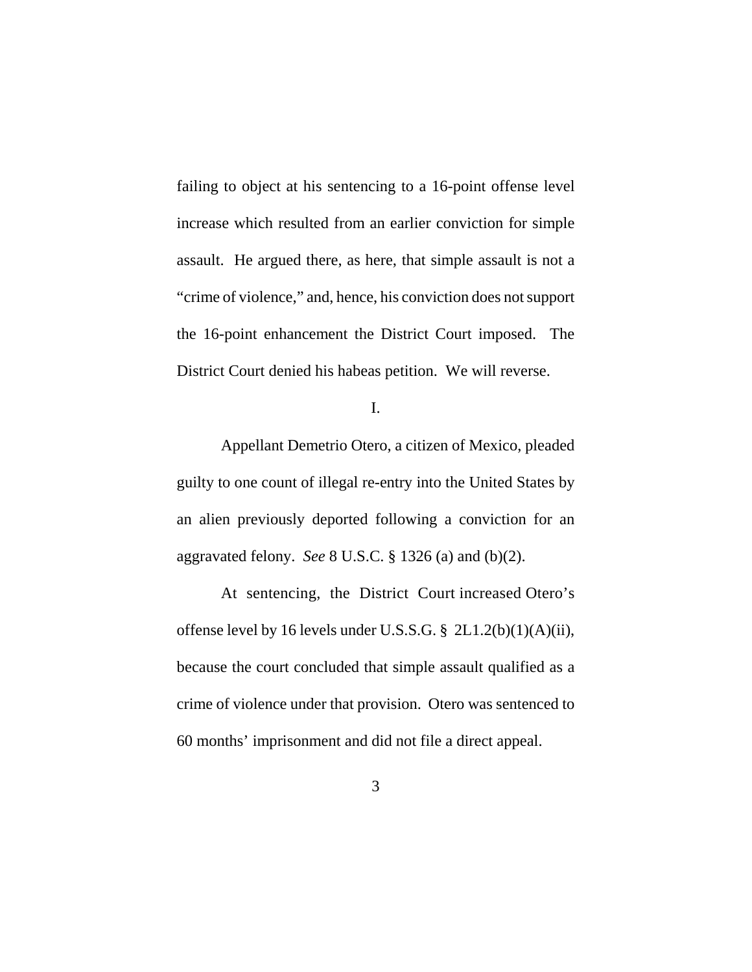failing to object at his sentencing to a 16-point offense level increase which resulted from an earlier conviction for simple assault. He argued there, as here, that simple assault is not a "crime of violence," and, hence, his conviction does not support the 16-point enhancement the District Court imposed. The District Court denied his habeas petition. We will reverse.

I.

Appellant Demetrio Otero, a citizen of Mexico, pleaded guilty to one count of illegal re-entry into the United States by an alien previously deported following a conviction for an aggravated felony. *See* 8 U.S.C. § 1326 (a) and (b)(2).

 At sentencing, the District Court increased Otero's offense level by 16 levels under U.S.S.G. § 2L1.2(b)(1)(A)(ii), because the court concluded that simple assault qualified as a crime of violence under that provision. Otero was sentenced to 60 months' imprisonment and did not file a direct appeal.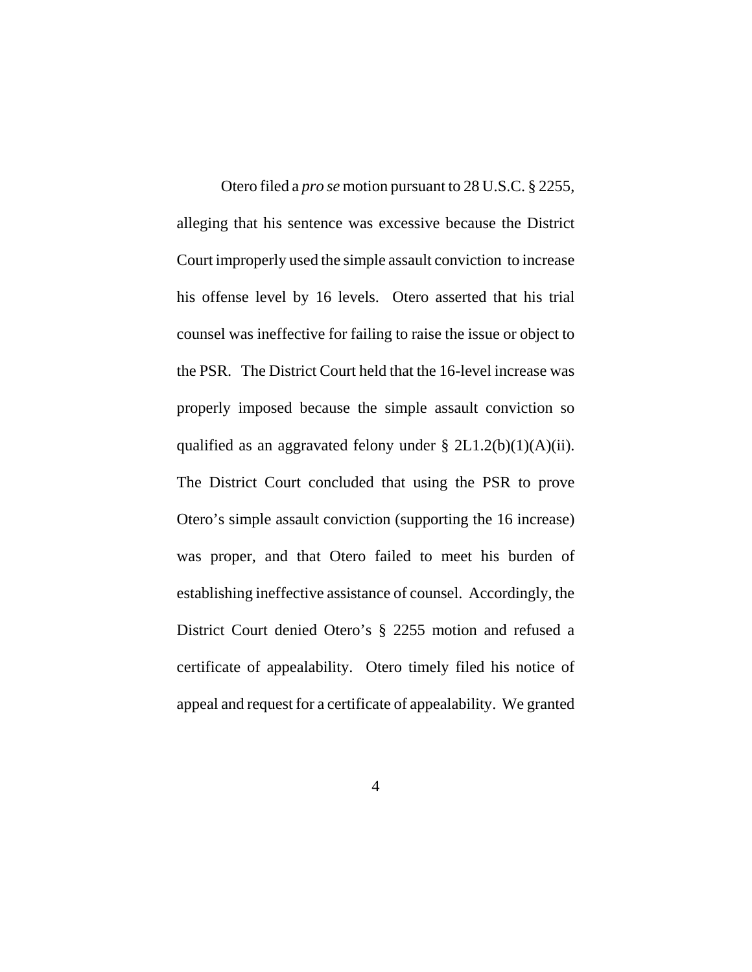Otero filed a *pro se* motion pursuant to 28 U.S.C. § 2255, alleging that his sentence was excessive because the District Court improperly used the simple assault conviction to increase his offense level by 16 levels. Otero asserted that his trial counsel was ineffective for failing to raise the issue or object to the PSR. The District Court held that the 16-level increase was properly imposed because the simple assault conviction so qualified as an aggravated felony under  $\S 2L1.2(b)(1)(A)(ii)$ . The District Court concluded that using the PSR to prove Otero's simple assault conviction (supporting the 16 increase) was proper, and that Otero failed to meet his burden of establishing ineffective assistance of counsel. Accordingly, the District Court denied Otero's § 2255 motion and refused a certificate of appealability. Otero timely filed his notice of appeal and request for a certificate of appealability. We granted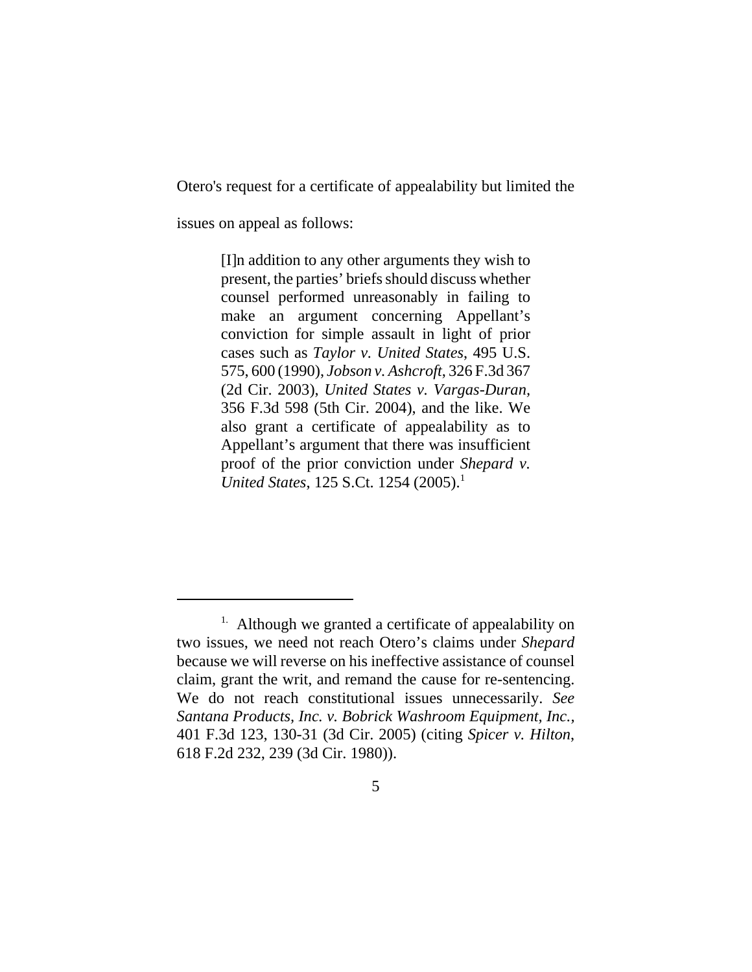Otero's request for a certificate of appealability but limited the

issues on appeal as follows:

[I]n addition to any other arguments they wish to present, the parties' briefs should discuss whether counsel performed unreasonably in failing to make an argument concerning Appellant's conviction for simple assault in light of prior cases such as *Taylor v. United States*, 495 U.S. 575, 600 (1990), *Jobson v. Ashcroft*, 326 F.3d 367 (2d Cir. 2003), *United States v. Vargas-Duran,* 356 F.3d 598 (5th Cir. 2004), and the like. We also grant a certificate of appealability as to Appellant's argument that there was insufficient proof of the prior conviction under *Shepard v. United States*, 125 S.Ct. 1254 (2005).<sup>1</sup>

<sup>&</sup>lt;sup>1.</sup> Although we granted a certificate of appealability on two issues, we need not reach Otero's claims under *Shepard* because we will reverse on his ineffective assistance of counsel claim, grant the writ, and remand the cause for re-sentencing. We do not reach constitutional issues unnecessarily. *See Santana Products, Inc. v. Bobrick Washroom Equipment, Inc.,* 401 F.3d 123, 130-31 (3d Cir. 2005) (citing *Spicer v. Hilton*, 618 F.2d 232, 239 (3d Cir. 1980)).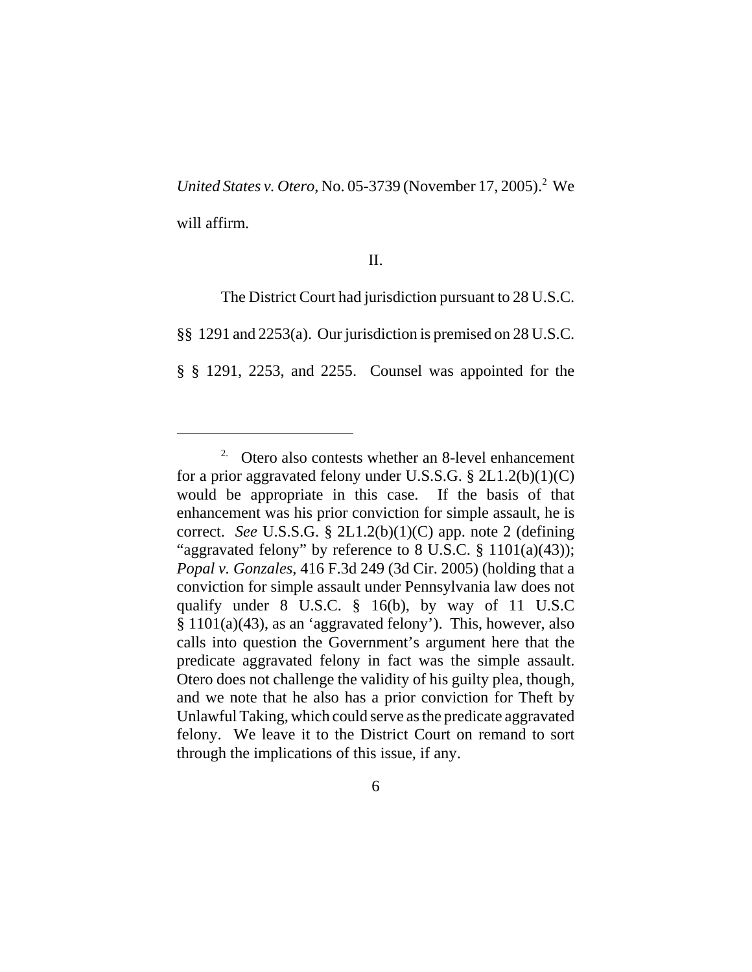United States v. Otero, No. 05-3739 (November 17, 2005).<sup>2</sup> We will affirm.

## II.

The District Court had jurisdiction pursuant to 28 U.S.C.

§§ 1291 and 2253(a). Our jurisdiction is premised on 28 U.S.C.

§ § 1291, 2253, and 2255. Counsel was appointed for the

<sup>2.</sup> Otero also contests whether an 8-level enhancement for a prior aggravated felony under U.S.S.G. § 2L1.2(b)(1)(C) would be appropriate in this case. If the basis of that enhancement was his prior conviction for simple assault, he is correct. *See* U.S.S.G. § 2L1.2(b)(1)(C) app. note 2 (defining "aggravated felony" by reference to 8 U.S.C.  $\S$  1101(a)(43)); *Popal v. Gonzales*, 416 F.3d 249 (3d Cir. 2005) (holding that a conviction for simple assault under Pennsylvania law does not qualify under 8 U.S.C. § 16(b), by way of 11 U.S.C § 1101(a)(43), as an 'aggravated felony'). This, however, also calls into question the Government's argument here that the predicate aggravated felony in fact was the simple assault. Otero does not challenge the validity of his guilty plea, though, and we note that he also has a prior conviction for Theft by Unlawful Taking, which could serve as the predicate aggravated felony. We leave it to the District Court on remand to sort through the implications of this issue, if any.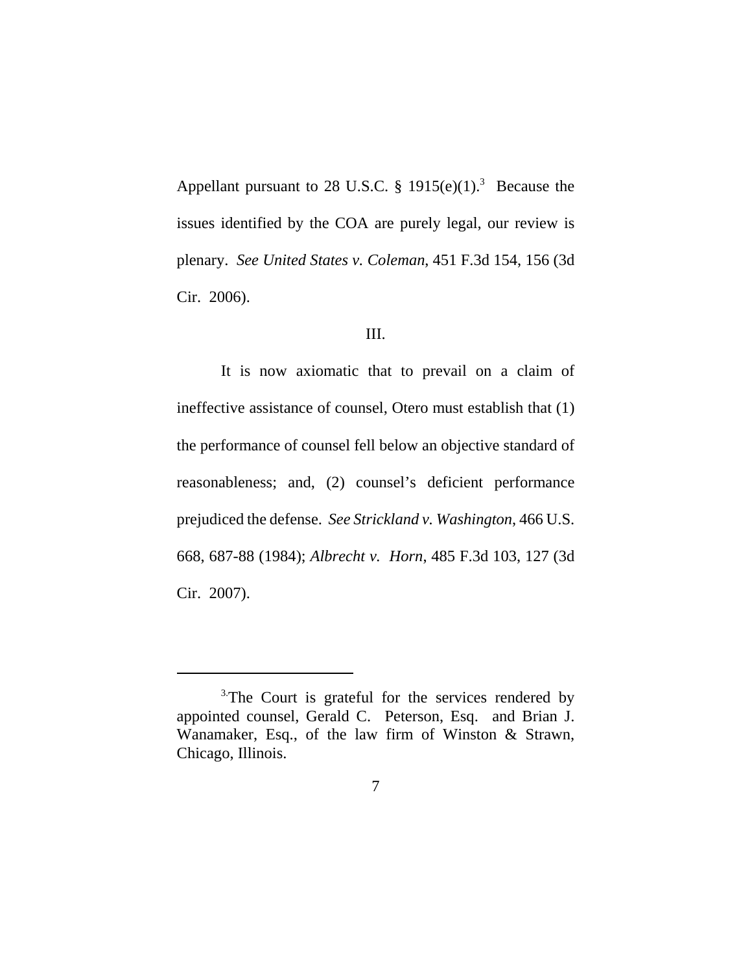Appellant pursuant to 28 U.S.C.  $\S$  1915(e)(1).<sup>3</sup> Because the issues identified by the COA are purely legal, our review is plenary. *See United States v. Coleman*, 451 F.3d 154, 156 (3d Cir. 2006).

### III.

It is now axiomatic that to prevail on a claim of ineffective assistance of counsel, Otero must establish that (1) the performance of counsel fell below an objective standard of reasonableness; and, (2) counsel's deficient performance prejudiced the defense. *See Strickland v. Washington*, 466 U.S. 668, 687-88 (1984); *Albrecht v. Horn*, 485 F.3d 103, 127 (3d Cir. 2007).

<sup>&</sup>lt;sup>3</sup>The Court is grateful for the services rendered by appointed counsel, Gerald C. Peterson, Esq. and Brian J. Wanamaker, Esq., of the law firm of Winston & Strawn, Chicago, Illinois.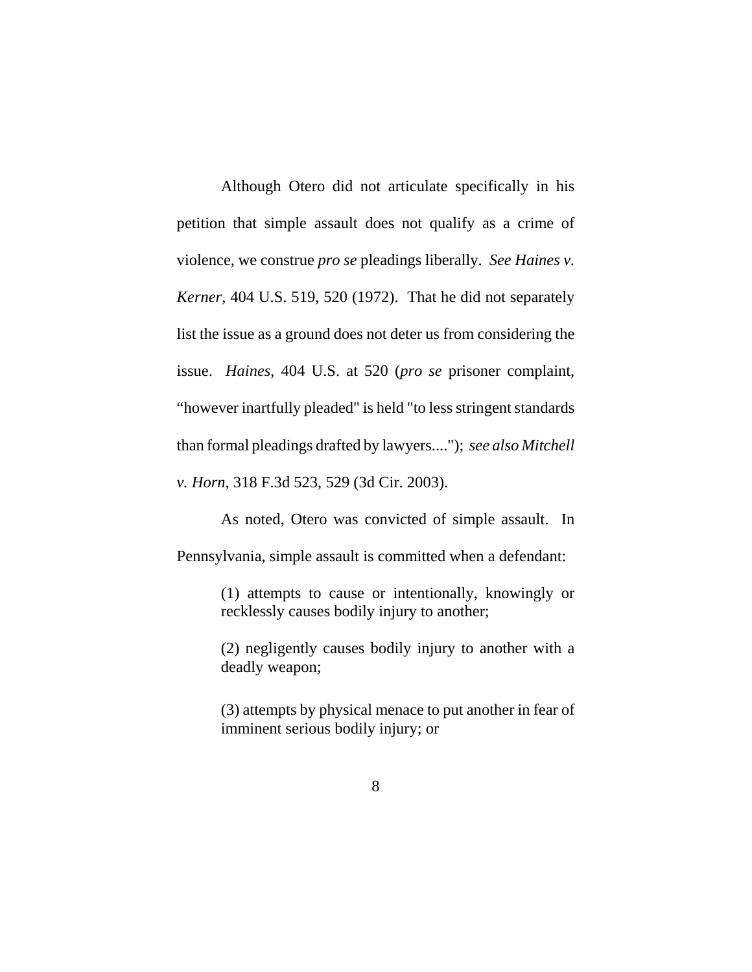Although Otero did not articulate specifically in his petition that simple assault does not qualify as a crime of violence, we construe *pro se* pleadings liberally. *See Haines v. Kerner*, 404 U.S. 519, 520 (1972). That he did not separately list the issue as a ground does not deter us from considering the issue. *Haines*, 404 U.S. at 520 (*pro se* prisoner complaint, "however inartfully pleaded" is held "to less stringent standards than formal pleadings drafted by lawyers...."); *see also Mitchell v. Horn*, 318 F.3d 523, 529 (3d Cir. 2003).

As noted, Otero was convicted of simple assault. In Pennsylvania, simple assault is committed when a defendant:

> (1) attempts to cause or intentionally, knowingly or recklessly causes bodily injury to another;

> (2) negligently causes bodily injury to another with a deadly weapon;

> (3) attempts by physical menace to put another in fear of imminent serious bodily injury; or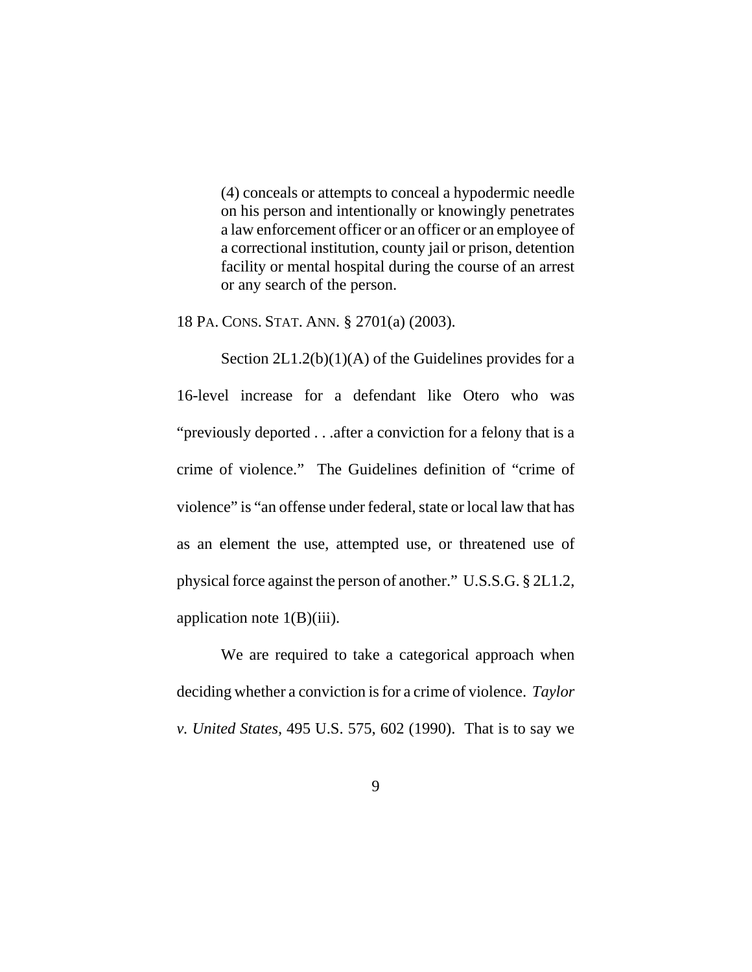(4) conceals or attempts to conceal a hypodermic needle on his person and intentionally or knowingly penetrates a law enforcement officer or an officer or an employee of a correctional institution, county jail or prison, detention facility or mental hospital during the course of an arrest or any search of the person.

18 PA. CONS. STAT. ANN. § 2701(a) (2003).

Section  $2L1.2(b)(1)(A)$  of the Guidelines provides for a 16-level increase for a defendant like Otero who was "previously deported . . .after a conviction for a felony that is a crime of violence." The Guidelines definition of "crime of violence" is "an offense under federal, state or local law that has as an element the use, attempted use, or threatened use of physical force against the person of another." U.S.S.G. § 2L1.2, application note  $1(B)(iii)$ .

We are required to take a categorical approach when deciding whether a conviction is for a crime of violence. *Taylor v. United States,* 495 U.S. 575, 602 (1990). That is to say we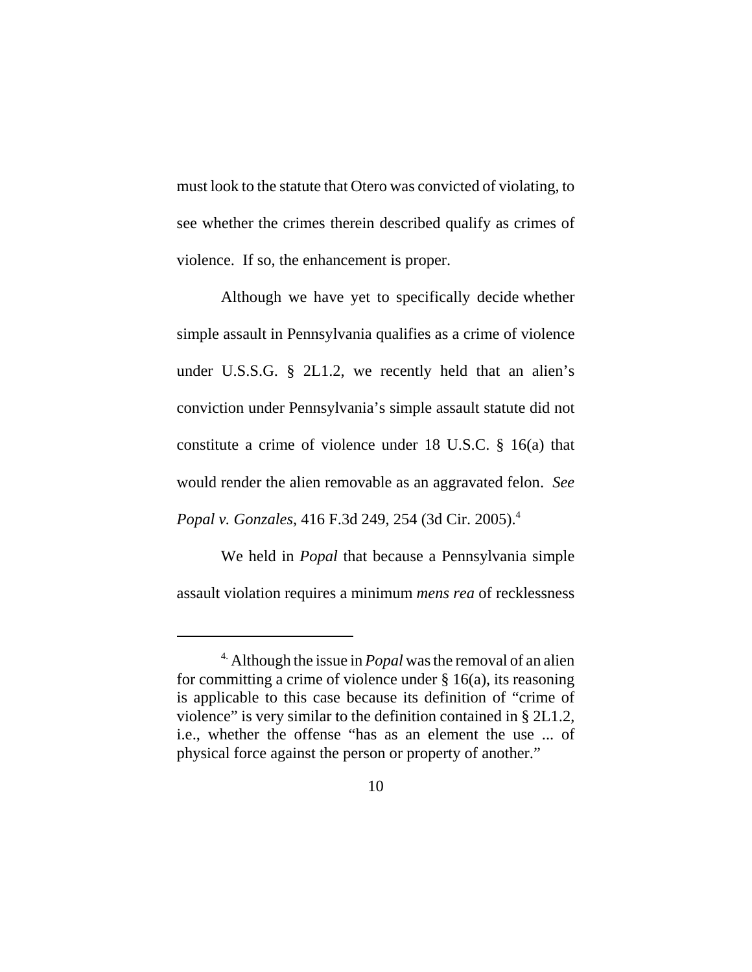must look to the statute that Otero was convicted of violating, to see whether the crimes therein described qualify as crimes of violence. If so, the enhancement is proper.

 Although we have yet to specifically decide whether simple assault in Pennsylvania qualifies as a crime of violence under U.S.S.G. § 2L1.2, we recently held that an alien's conviction under Pennsylvania's simple assault statute did not constitute a crime of violence under 18 U.S.C. § 16(a) that would render the alien removable as an aggravated felon. *See Popal v. Gonzales*, 416 F.3d 249, 254 (3d Cir. 2005).4

We held in *Popal* that because a Pennsylvania simple assault violation requires a minimum *mens rea* of recklessness

<sup>4.</sup> Although the issue in *Popal* was the removal of an alien for committing a crime of violence under  $\S 16(a)$ , its reasoning is applicable to this case because its definition of "crime of violence" is very similar to the definition contained in § 2L1.2, i.e., whether the offense "has as an element the use ... of physical force against the person or property of another."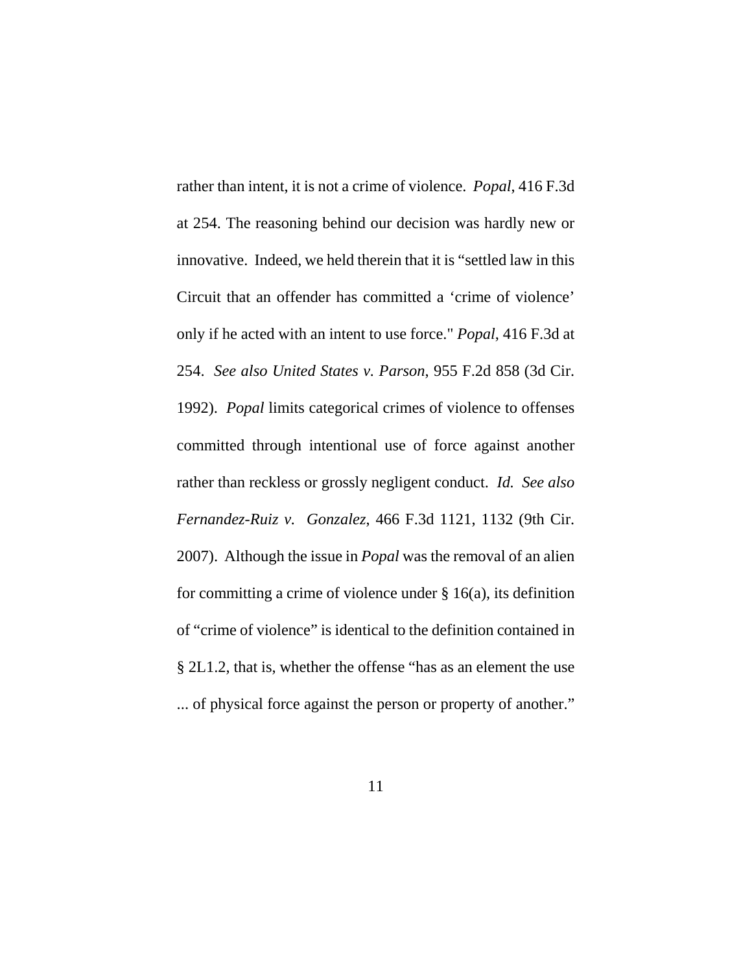rather than intent, it is not a crime of violence. *Popal*, 416 F.3d at 254. The reasoning behind our decision was hardly new or innovative. Indeed, we held therein that it is "settled law in this Circuit that an offender has committed a 'crime of violence' only if he acted with an intent to use force." *Popal*, 416 F.3d at 254. *See also United States v. Parson*, 955 F.2d 858 (3d Cir. 1992). *Popal* limits categorical crimes of violence to offenses committed through intentional use of force against another rather than reckless or grossly negligent conduct. *Id. See also Fernandez-Ruiz v. Gonzalez*, 466 F.3d 1121, 1132 (9th Cir. 2007). Although the issue in *Popal* was the removal of an alien for committing a crime of violence under  $\S$  16(a), its definition of "crime of violence" is identical to the definition contained in § 2L1.2, that is, whether the offense "has as an element the use ... of physical force against the person or property of another."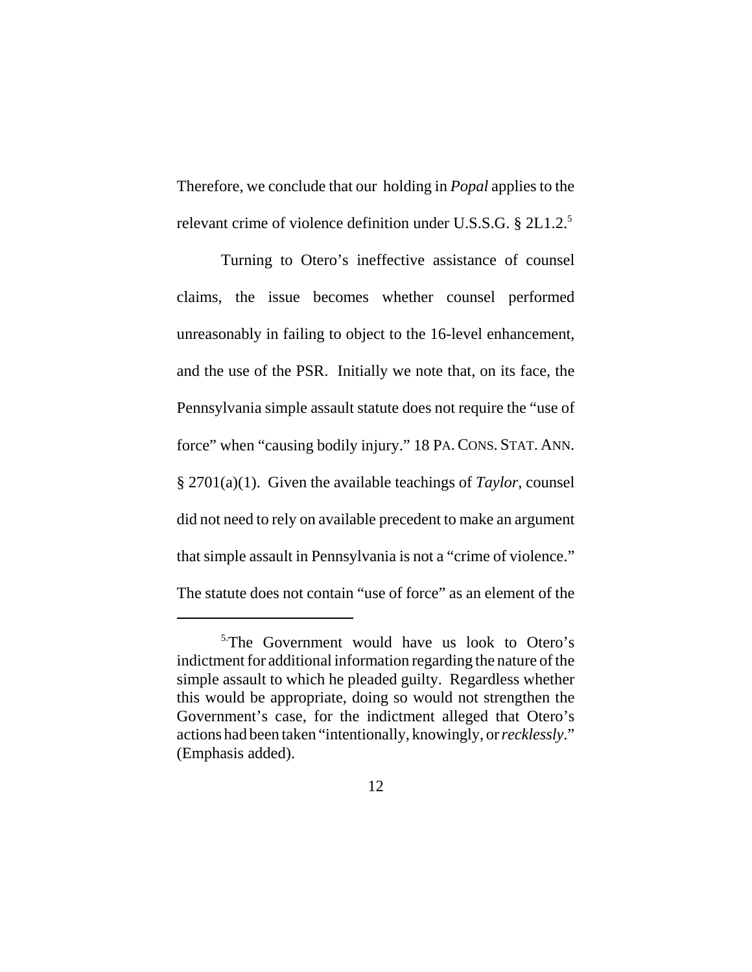Therefore, we conclude that our holding in *Popal* applies to the relevant crime of violence definition under U.S.S.G. § 2L1.2.<sup>5</sup>

Turning to Otero's ineffective assistance of counsel claims, the issue becomes whether counsel performed unreasonably in failing to object to the 16-level enhancement, and the use of the PSR. Initially we note that, on its face, the Pennsylvania simple assault statute does not require the "use of force" when "causing bodily injury." 18 PA.CONS. STAT. ANN. § 2701(a)(1). Given the available teachings of *Taylor*, counsel did not need to rely on available precedent to make an argument that simple assault in Pennsylvania is not a "crime of violence." The statute does not contain "use of force" as an element of the

<sup>&</sup>lt;sup>5.</sup>The Government would have us look to Otero's indictment for additional information regarding the nature of the simple assault to which he pleaded guilty. Regardless whether this would be appropriate, doing so would not strengthen the Government's case, for the indictment alleged that Otero's actions had been taken "intentionally, knowingly, or *recklessly*." (Emphasis added).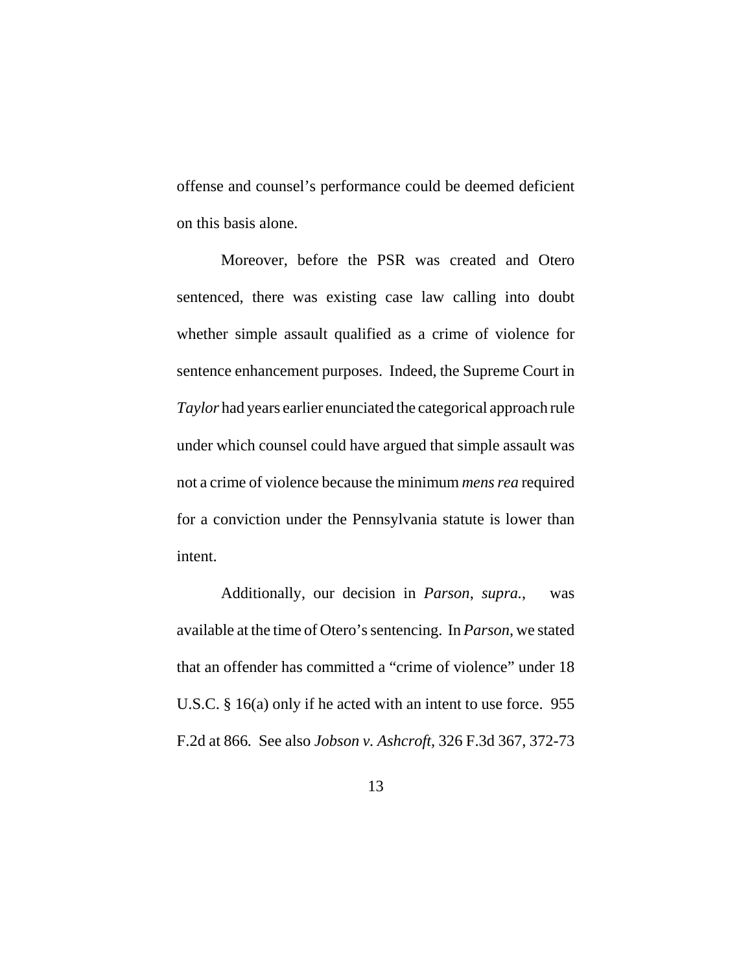offense and counsel's performance could be deemed deficient on this basis alone.

Moreover, before the PSR was created and Otero sentenced, there was existing case law calling into doubt whether simple assault qualified as a crime of violence for sentence enhancement purposes. Indeed, the Supreme Court in *Taylor* had years earlier enunciated the categorical approach rule under which counsel could have argued that simple assault was not a crime of violence because the minimum *mens rea* required for a conviction under the Pennsylvania statute is lower than intent.

Additionally, our decision in *Parson*, *supra.*, was available at the time of Otero's sentencing. In *Parson*, we stated that an offender has committed a "crime of violence" under 18 U.S.C. § 16(a) only if he acted with an intent to use force. 955 F.2d at 866*.* See also *Jobson v. Ashcroft*, 326 F.3d 367, 372-73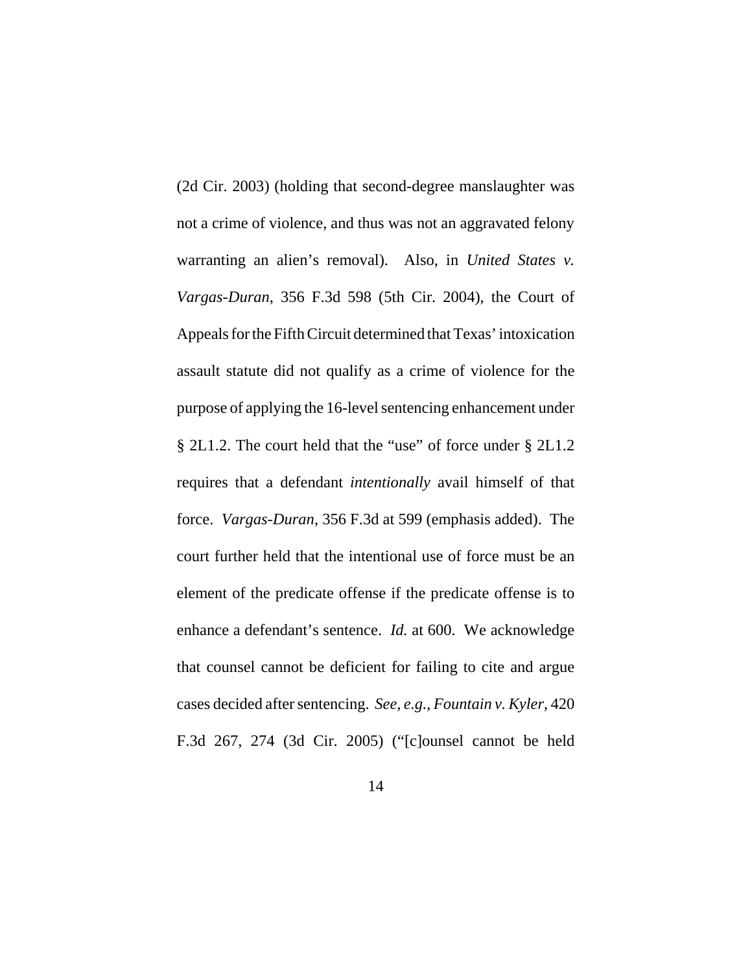(2d Cir. 2003) (holding that second-degree manslaughter was not a crime of violence, and thus was not an aggravated felony warranting an alien's removal). Also, in *United States v. Vargas-Duran*, 356 F.3d 598 (5th Cir. 2004), the Court of Appeals for the Fifth Circuit determined that Texas' intoxication assault statute did not qualify as a crime of violence for the purpose of applying the 16-level sentencing enhancement under § 2L1.2. The court held that the "use" of force under § 2L1.2 requires that a defendant *intentionally* avail himself of that force. *Vargas-Duran*, 356 F.3d at 599 (emphasis added). The court further held that the intentional use of force must be an element of the predicate offense if the predicate offense is to enhance a defendant's sentence. *Id.* at 600. We acknowledge that counsel cannot be deficient for failing to cite and argue cases decided after sentencing. *See, e.g., Fountain v. Kyler*, 420 F.3d 267, 274 (3d Cir. 2005) ("[c]ounsel cannot be held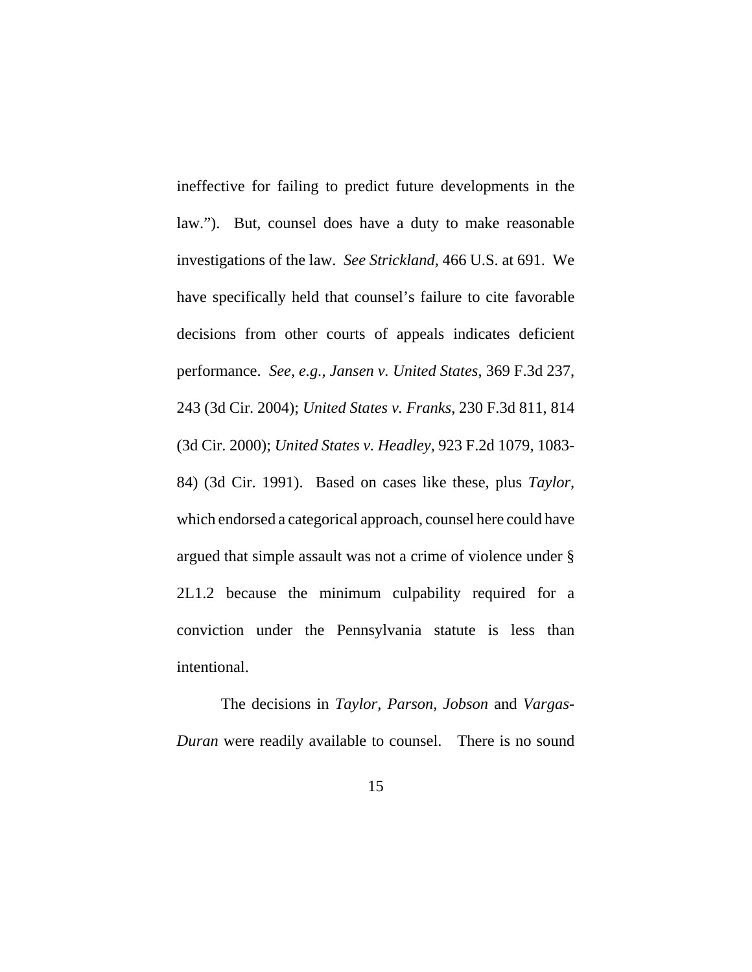ineffective for failing to predict future developments in the law."). But, counsel does have a duty to make reasonable investigations of the law. *See Strickland,* 466 U.S. at 691. We have specifically held that counsel's failure to cite favorable decisions from other courts of appeals indicates deficient performance. *See, e.g., Jansen v. United States*, 369 F.3d 237, 243 (3d Cir. 2004); *United States v. Franks*, 230 F.3d 811, 814 (3d Cir. 2000); *United States v. Headley*, 923 F.2d 1079, 1083- 84) (3d Cir. 1991). Based on cases like these, plus *Taylor,* which endorsed a categorical approach, counsel here could have argued that simple assault was not a crime of violence under § 2L1.2 because the minimum culpability required for a conviction under the Pennsylvania statute is less than intentional.

The decisions in *Taylor, Parson, Jobson* and *Vargas-Duran* were readily available to counsel. There is no sound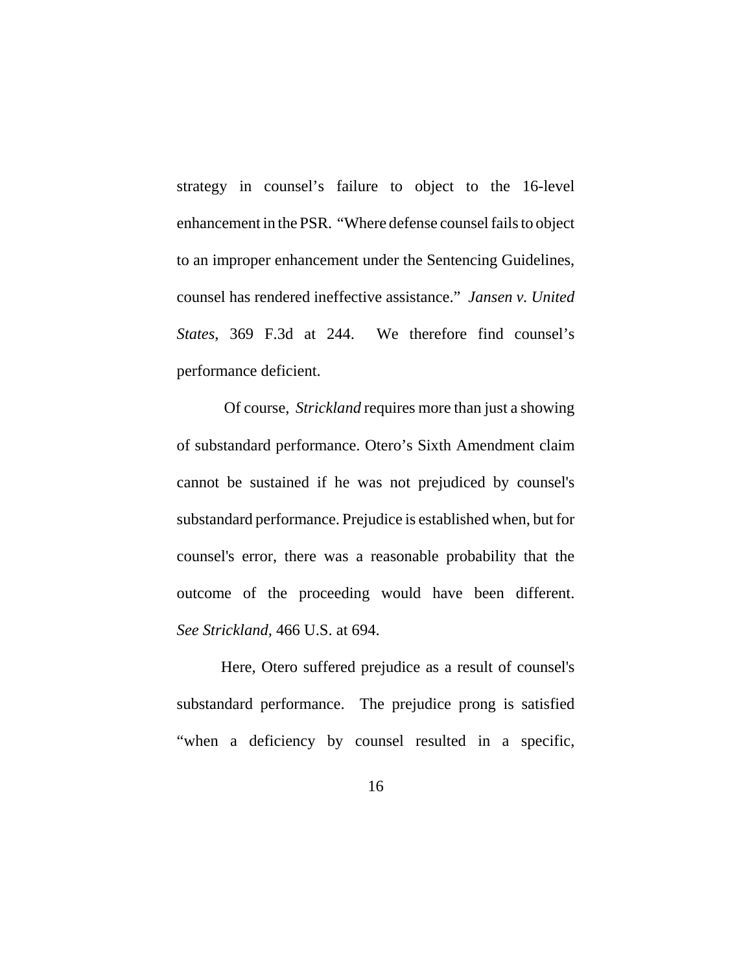strategy in counsel's failure to object to the 16-level enhancement in the PSR. "Where defense counsel fails to object to an improper enhancement under the Sentencing Guidelines, counsel has rendered ineffective assistance." *Jansen v. United States*, 369 F.3d at 244. We therefore find counsel's performance deficient.

 Of course, *Strickland* requires more than just a showing of substandard performance. Otero's Sixth Amendment claim cannot be sustained if he was not prejudiced by counsel's substandard performance. Prejudice is established when, but for counsel's error, there was a reasonable probability that the outcome of the proceeding would have been different. *See Strickland,* 466 U.S. at 694.

Here, Otero suffered prejudice as a result of counsel's substandard performance. The prejudice prong is satisfied "when a deficiency by counsel resulted in a specific,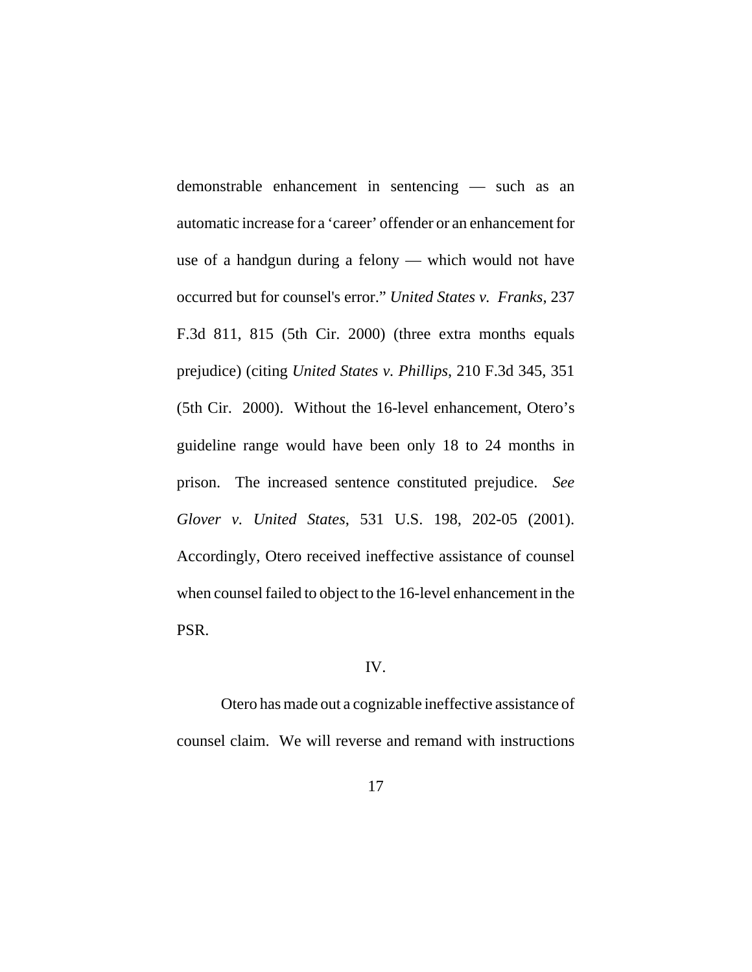demonstrable enhancement in sentencing — such as an automatic increase for a 'career' offender or an enhancement for use of a handgun during a felony — which would not have occurred but for counsel's error." *United States v. Franks*, 237 F.3d 811, 815 (5th Cir. 2000) (three extra months equals prejudice) (citing *United States v. Phillips*, 210 F.3d 345, 351 (5th Cir. 2000). Without the 16-level enhancement, Otero's guideline range would have been only 18 to 24 months in prison. The increased sentence constituted prejudice. *See Glover v. United States*, 531 U.S. 198, 202-05 (2001). Accordingly, Otero received ineffective assistance of counsel when counsel failed to object to the 16-level enhancement in the PSR.

### IV.

Otero has made out a cognizable ineffective assistance of counsel claim. We will reverse and remand with instructions